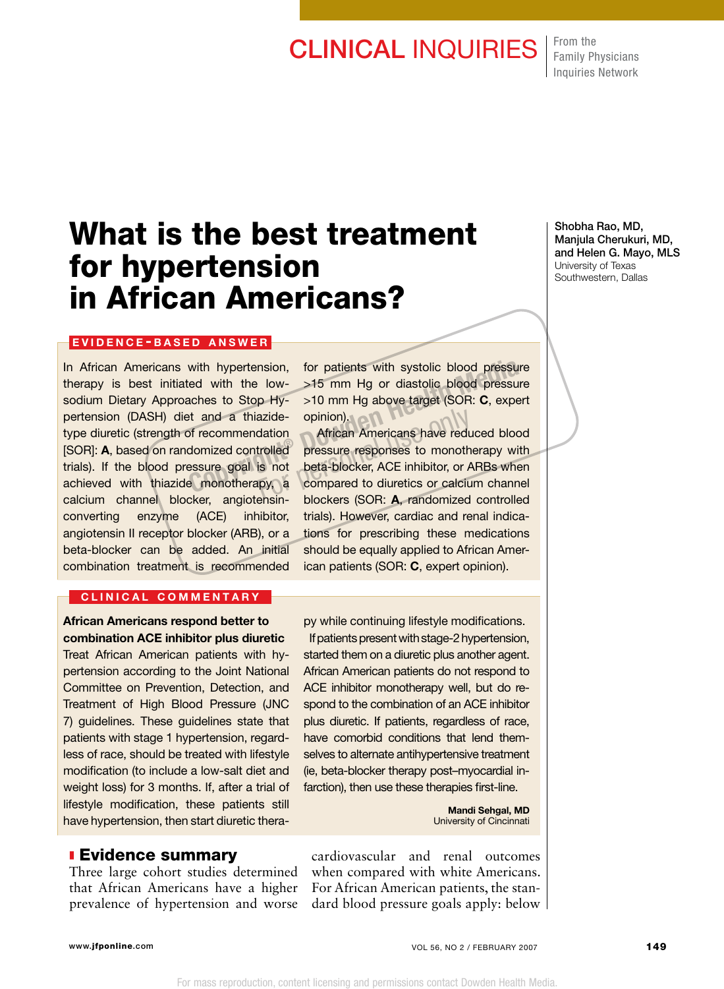## **CLINICAL INQUIRIES** From the

Family Physicians Inquiries Network

# What is the best treatment for hypertension in African Americans?

#### EVIDENCE-BASED ANSWER

In African Americans with hypertension, therapy is best initiated with the lowsodium Dietary Approaches to Stop Hypertension (DASH) diet and a thiazidetype diuretic (strength of recommendation [SOR]: A, based on randomized controlled trials). If the blood pressure goal is not achieved with thiazide monotherapy, a calcium channel blocker, angiotensinconverting enzyme (ACE) inhibitor, angiotensin II receptor blocker (ARB), or a beta-blocker can be added. An initial combination treatment is recommended

#### CLINICAL COMMENTARY

African Americans respond better to combination ACE inhibitor plus diuretic Treat African American patients with hypertension according to the Joint National Committee on Prevention, Detection, and Treatment of High Blood Pressure (JNC 7) guidelines. These guidelines state that patients with stage 1 hypertension, regardless of race, should be treated with lifestyle modification (to include a low-salt diet and weight loss) for 3 months. If, after a trial of lifestyle modification, these patients still have hypertension, then start diuretic therafor patients with systolic blood pressure >15 mm Hg or diastolic blood pressure >10 mm Hg above target (SOR: C, expert opinion).

 African Americans have reduced blood pressure responses to monotherapy with beta-blocker, ACE inhibitor, or ARBs when compared to diuretics or calcium channel blockers (SOR: A, randomized controlled trials). However, cardiac and renal indications for prescribing these medications should be equally applied to African American patients (SOR: C, expert opinion). with hypertension, for patients with systolic blood pressure<br>
red with the low-<br>  $>15$  mm Hg or diastolic blood pressure<br>
aches to Stop Hy-<br>  $>10$  mm Hg above target (SOR: **C**, exper<br>
at and a thiazide-<br>
opinion).<br>
of reco azide- opinion).<br>
African Americans have reduction<br>
trolled pressure responses to monother<br>
is not beta-blocker, ACE inhibitor, or A<br>
upy, a compared to diuretics or calciu

> py while continuing lifestyle modifications. If patients present with stage-2 hypertension, started them on a diuretic plus another agent. African American patients do not respond to ACE inhibitor monotherapy well, but do respond to the combination of an ACE inhibitor plus diuretic. If patients, regardless of race, have comorbid conditions that lend themselves to alternate antihypertensive treatment (ie, beta-blocker therapy post–myocardial infarction), then use these therapies first-line.

> > Mandi Sehgal, MD University of Cincinnati

### **Evidence summary**

Three large cohort studies determined that African Americans have a higher prevalence of hypertension and worse cardiovascular and renal outcomes when compared with white Americans. For African American patients, the standard blood pressure goals apply: below

Shobha Rao, MD, Manjula Cherukuri, MD, and Helen G. Mayo, MLS University of Texas Southwestern, Dallas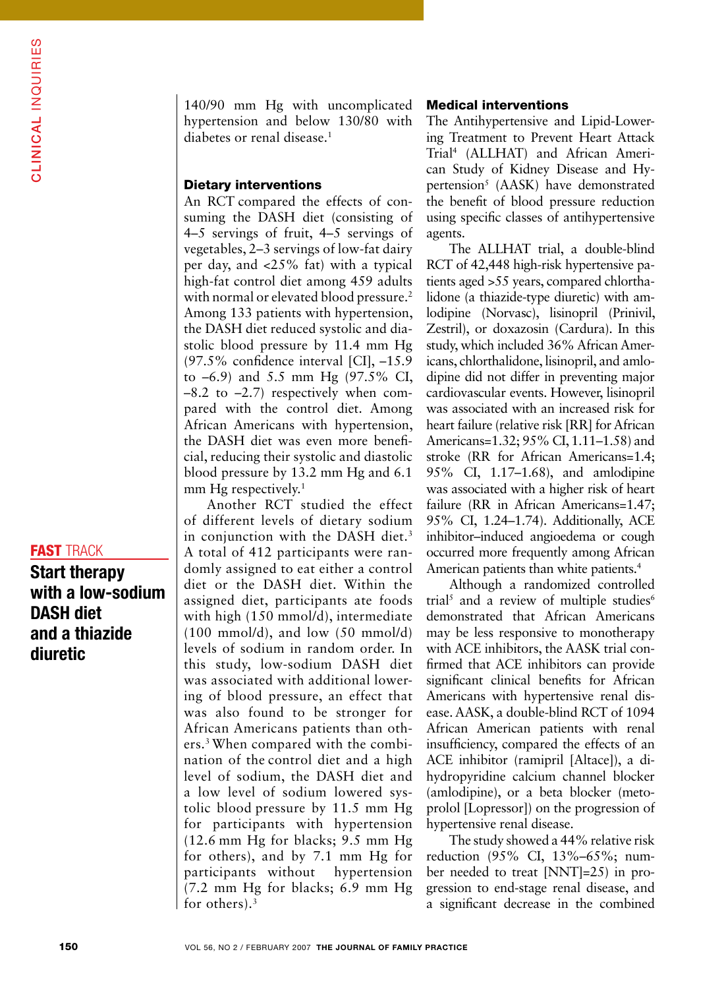### **FAST TRACK**

Start therapy with a low-sodium DASH diet and a thiazide diuretic

140/90 mm Hg with uncomplicated hypertension and below 130/80 with diabetes or renal disease.<sup>1</sup>

#### Dietary interventions

An RCT compared the effects of consuming the DASH diet (consisting of 4–5 servings of fruit, 4–5 servings of vegetables, 2–3 servings of low-fat dairy per day, and <25% fat) with a typical high-fat control diet among 459 adults with normal or elevated blood pressure.<sup>2</sup> Among 133 patients with hypertension, the DASH diet reduced systolic and diastolic blood pressure by 11.4 mm Hg (97.5% confidence interval [CI], –15.9 to –6.9) and 5.5 mm Hg (97.5% CI,  $-8.2$  to  $-2.7$ ) respectively when compared with the control diet. Among African Americans with hypertension, the DASH diet was even more beneficial, reducing their systolic and diastolic blood pressure by 13.2 mm Hg and 6.1 mm Hg respectively.<sup>1</sup>

Another RCT studied the effect of different levels of dietary sodium in conjunction with the DASH diet.<sup>3</sup> A total of 412 participants were randomly assigned to eat either a control diet or the DASH diet. Within the assigned diet, participants ate foods with high (150 mmol/d), intermediate  $(100 \text{ mmol/d})$ , and low  $(50 \text{ mmol/d})$ levels of sodium in random order. In this study, low-sodium DASH diet was associated with additional lowering of blood pressure, an effect that was also found to be stronger for African Americans patients than others.3 When compared with the combination of the control diet and a high level of sodium, the DASH diet and a low level of sodium lowered systolic blood pressure by 11.5 mm Hg for participants with hypertension (12.6 mm Hg for blacks; 9.5 mm Hg for others), and by 7.1 mm Hg for participants without hypertension (7.2 mm Hg for blacks; 6.9 mm Hg for others).3

#### Medical interventions

The Antihypertensive and Lipid-Lowering Treatment to Prevent Heart Attack Trial4 (ALLHAT) and African American Study of Kidney Disease and Hypertension<sup>5</sup> (AASK) have demonstrated the benefit of blood pressure reduction using specific classes of antihypertensive agents.

The ALLHAT trial, a double-blind RCT of 42,448 high-risk hypertensive patients aged >55 years, compared chlorthalidone (a thiazide-type diuretic) with amlodipine (Norvasc), lisinopril (Prinivil, Zestril), or doxazosin (Cardura). In this study, which included 36% African Americans, chlorthalidone, lisinopril, and amlodipine did not differ in preventing major cardiovascular events. However, lisinopril was associated with an increased risk for heart failure (relative risk [RR] for African Americans=1.32; 95% CI, 1.11–1.58) and stroke (RR for African Americans=1.4; 95% CI, 1.17–1.68), and amlodipine was associated with a higher risk of heart failure (RR in African Americans=1.47; 95% CI, 1.24–1.74). Additionally, ACE inhibitor–induced angioedema or cough occurred more frequently among African American patients than white patients.<sup>4</sup>

Although a randomized controlled trial<sup>5</sup> and a review of multiple studies<sup>6</sup> demonstrated that African Americans may be less responsive to monotherapy with ACE inhibitors, the AASK trial confirmed that ACE inhibitors can provide significant clinical benefits for African Americans with hypertensive renal disease. AASK, a double-blind RCT of 1094 African American patients with renal insufficiency, compared the effects of an ACE inhibitor (ramipril [Altace]), a dihydropyridine calcium channel blocker (amlodipine), or a beta blocker (metoprolol [Lopressor]) on the progression of hypertensive renal disease.

The study showed a 44% relative risk reduction (95% CI, 13%–65%; number needed to treat [NNT]=25) in progression to end-stage renal disease, and a significant decrease in the combined